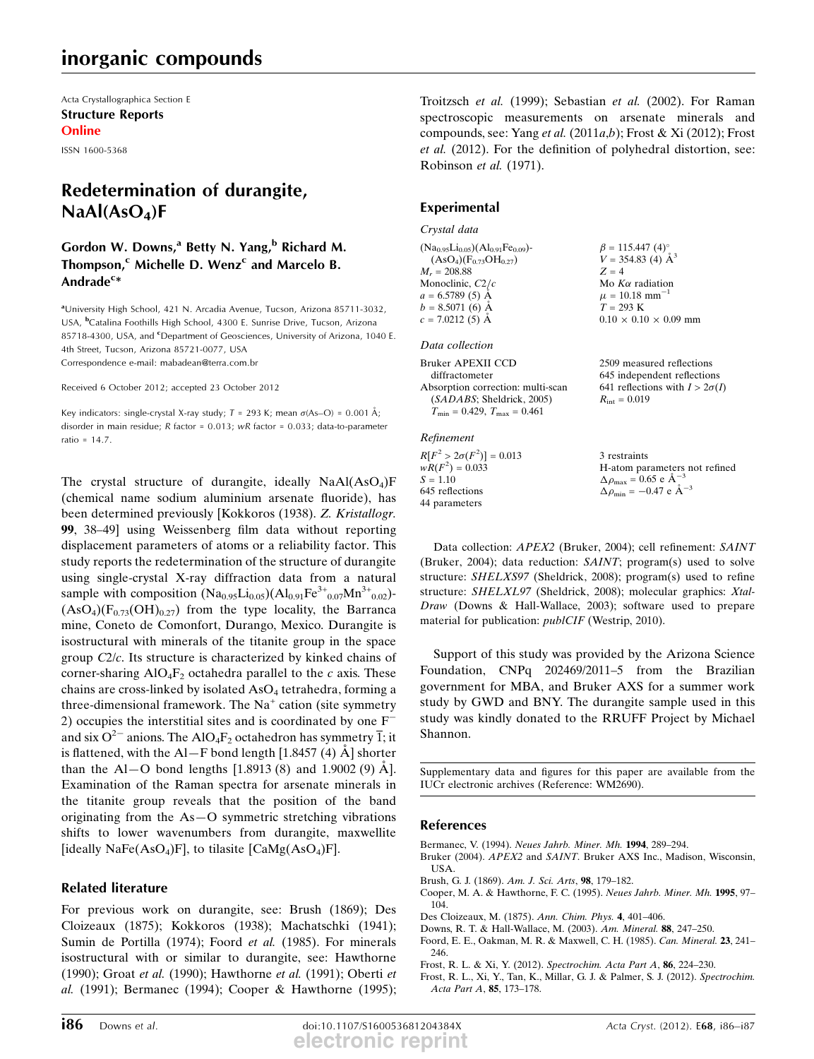# inorganic compounds

Acta Crystallographica Section E Structure Reports **Online** 

ISSN 1600-5368

# Redetermination of durangite,  $NaAl(AsO<sub>4</sub>)F$

## Gordon W. Downs,<sup>a</sup> Betty N. Yang,<sup>b</sup> Richard M. Thompson, $c$  Michelle D. Wenz<sup>c</sup> and Marcelo B. Andrade<sup>c</sup>\*

<sup>a</sup>University High School, 421 N. Arcadia Avenue, Tucson, Arizona 85711-3032, USA, <sup>b</sup>Catalina Foothills High School, 4300 E. Sunrise Drive, Tucson, Arizona 85718-4300, USA, and <sup>c</sup>Department of Geosciences, University of Arizona, 1040 E. 4th Street, Tucson, Arizona 85721-0077, USA Correspondence e-mail: mabadean@terra.com.br

Received 6 October 2012; accepted 23 October 2012

Key indicators: single-crystal X-ray study;  $T = 293$  K; mean  $\sigma$ (As-O) = 0.001 Å; disorder in main residue; R factor = 0.013; wR factor = 0.033; data-to-parameter ratio = 14.7.

The crystal structure of durangite, ideally  $NaAl(AsO<sub>4</sub>)F$ (chemical name sodium aluminium arsenate fluoride), has been determined previously [Kokkoros (1938). Z. Kristallogr. 99, 38–49] using Weissenberg film data without reporting displacement parameters of atoms or a reliability factor. This study reports the redetermination of the structure of durangite using single-crystal X-ray diffraction data from a natural sample with composition  $(Na_{0.95}Li_{0.05})(Al_{0.91}Fe^{3+}_{0.07}Mn^{3+}_{0.02})$ - $(AsO<sub>4</sub>)(F<sub>0.73</sub>(OH)<sub>0.27</sub>)$  from the type locality, the Barranca mine, Coneto de Comonfort, Durango, Mexico. Durangite is isostructural with minerals of the titanite group in the space group C2/c. Its structure is characterized by kinked chains of corner-sharing  $AIO_4F_2$  octahedra parallel to the c axis. These chains are cross-linked by isolated  $AsO<sub>4</sub>$  tetrahedra, forming a three-dimensional framework. The  $Na<sup>+</sup>$  cation (site symmetry 2) occupies the interstitial sites and is coordinated by one  $F^$ and six  $O^{2-}$  anions. The AlO<sub>4</sub>F<sub>2</sub> octahedron has symmetry  $\overline{1}$ ; it is flattened, with the Al-F bond length [1.8457 (4)  $\AA$ ] shorter than the Al–O bond lengths  $[1.8913(8)$  and  $1.9002(9)$  A. Examination of the Raman spectra for arsenate minerals in the titanite group reveals that the position of the band originating from the As—O symmetric stretching vibrations shifts to lower wavenumbers from durangite, maxwellite [ideally NaFe $(AsO<sub>4</sub>)F$ ], to tilasite [CaMg $(AsO<sub>4</sub>)F$ ].

### Related literature

For previous work on durangite, see: Brush (1869); Des Cloizeaux (1875); Kokkoros (1938); Machatschki (1941); Sumin de Portilla (1974); Foord et al. (1985). For minerals isostructural with or similar to durangite, see: Hawthorne (1990); Groat et al. (1990); Hawthorne et al. (1991); Oberti et al. (1991); Bermanec (1994); Cooper & Hawthorne (1995); Troitzsch et al. (1999); Sebastian et al. (2002). For Raman spectroscopic measurements on arsenate minerals and compounds, see: Yang et al.  $(2011a,b)$ ; Frost & Xi  $(2012)$ ; Frost et al. (2012). For the definition of polyhedral distortion, see: Robinson et al. (1971).

## Experimental

Crystal data

 $(Na_{0.95}Li_{0.05})(Al_{0.91}Fe_{0.09})$ - $(AsO<sub>4</sub>)(F<sub>0.73</sub>OH<sub>0.27</sub>)$  $M<sub>r</sub> = 208.88$ Monoclinic,  $C2/c$  $a = 6.5789(5)$  Å  $b = 8.5071(6)$  Å  $c = 7.0212(5)$  Å

Data collection

```
Bruker APEXII CCD
  diffractometer
Absorption correction: multi-scan
  (SADABS; Sheldrick, 2005)
  T_{\text{min}} = 0.429, T_{\text{max}} = 0.461
```
Refinement

 $R[F^2 > 2\sigma(F^2)] = 0.013$  $wR(F^2) = 0.033$  $S = 1.10$ 645 reflections 44 parameters

 $\beta = 115.447 (4)$ °  $V = 354.83 \ (4) \ \text{\AA}^3$  $Z = 4$ Mo  $K\alpha$  radiation  $\mu = 10.18$  mm<sup>-1</sup> 1  $T = 293 K$  $0.10 \times 0.10 \times 0.09$  mm

2509 measured reflections 645 independent reflections 641 reflections with  $I > 2\sigma(I)$  $R_{\text{int}} = 0.019$ 

3 restraints H-atom parameters not refined  $\Delta \rho_{\text{max}} = 0.65 \text{ e A}^{-}$ 3  $\Delta \rho_{\rm min} = -0.47 \text{ e } \text{\AA}^{-3}$ 

Data collection: APEX2 (Bruker, 2004); cell refinement: SAINT (Bruker, 2004); data reduction: SAINT; program(s) used to solve structure: SHELXS97 (Sheldrick, 2008); program(s) used to refine structure: SHELXL97 (Sheldrick, 2008); molecular graphics: Xtal-Draw (Downs & Hall-Wallace, 2003); software used to prepare material for publication: *publCIF* (Westrip, 2010).

Support of this study was provided by the Arizona Science Foundation, CNPq 202469/2011–5 from the Brazilian government for MBA, and Bruker AXS for a summer work study by GWD and BNY. The durangite sample used in this study was kindly donated to the RRUFF Project by Michael Shannon.

Supplementary data and figures for this paper are available from the IUCr electronic archives (Reference: WM2690).

#### References

- Bermanec, V. (1994). Neues Jahrb. Miner. Mh. 1994, 289–294.
- Bruker (2004). APEX2 and SAINT. Bruker AXS Inc., Madison, Wisconsin, USA.
- Brush, G. J. (1869). Am. J. Sci. Arts, 98, 179–182.
- Cooper, M. A. & Hawthorne, F. C. (1995). Neues Jahrb. Miner. Mh. 1995, 97– 104.
- Des Cloizeaux, M. (1875). Ann. Chim. Phys. 4, 401–406.
- Downs, R. T. & Hall-Wallace, M. (2003). Am. Mineral. 88, 247–250.
- Foord, E. E., Oakman, M. R. & Maxwell, C. H. (1985). Can. Mineral. 23, 241– 246.
- Frost, R. L. & Xi, Y. (2012). Spectrochim. Acta Part A, 86, 224–230.
- Frost, R. L., Xi, Y., Tan, K., Millar, G. J. & Palmer, S. J. (2012). Spectrochim. Acta Part A, 85, 173–178.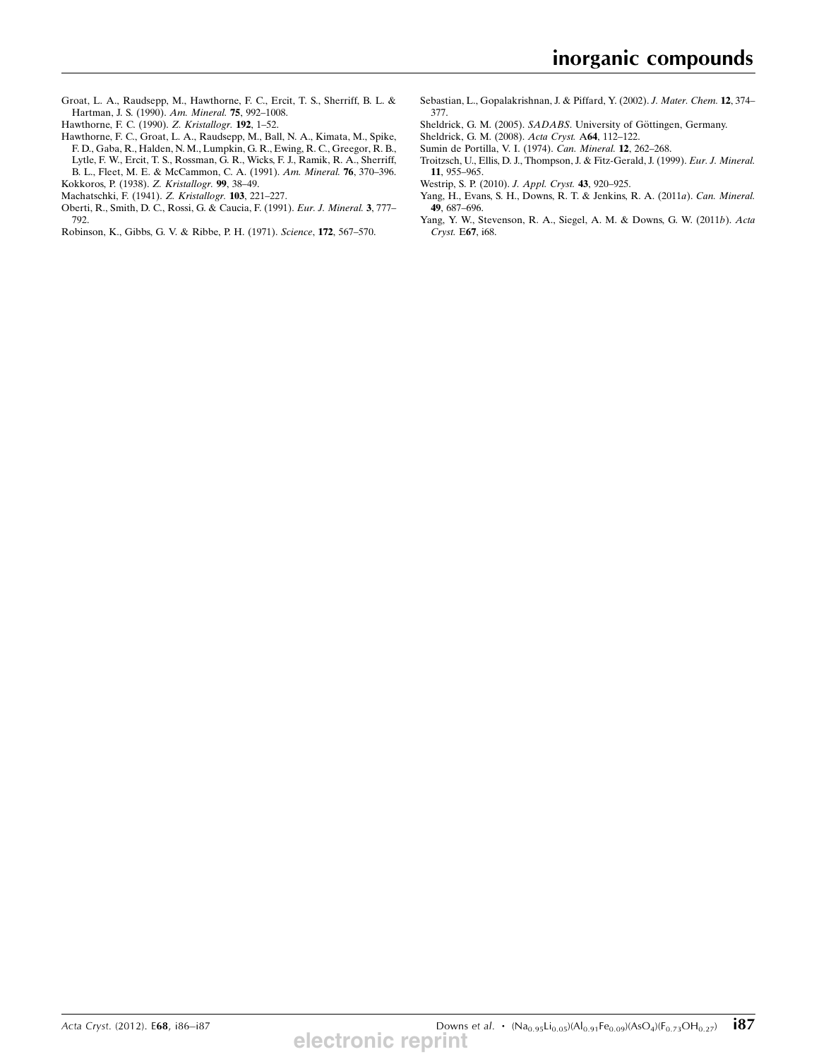- Groat, L. A., Raudsepp, M., Hawthorne, F. C., Ercit, T. S., Sherriff, B. L. & Hartman, J. S. (1990). Am. Mineral. 75, 992–1008.
- Hawthorne, F. C. (1990). Z. Kristallogr. 192, 1–52.
- Hawthorne, F. C., Groat, L. A., Raudsepp, M., Ball, N. A., Kimata, M., Spike, F. D., Gaba, R., Halden, N. M., Lumpkin, G. R., Ewing, R. C., Greegor, R. B., Lytle, F. W., Ercit, T. S., Rossman, G. R., Wicks, F. J., Ramik, R. A., Sherriff, B. L., Fleet, M. E. & McCammon, C. A. (1991). Am. Mineral. 76, 370–396. Kokkoros, P. (1938). Z. Kristallogr. 99, 38–49.
- Machatschki, F. (1941). Z. Kristallogr. 103, 221–227.
- Oberti, R., Smith, D. C., Rossi, G. & Caucia, F. (1991). Eur. J. Mineral. 3, 777– 792.
- Robinson, K., Gibbs, G. V. & Ribbe, P. H. (1971). Science, 172, 567–570.
- Sebastian, L., Gopalakrishnan, J. & Piffard, Y. (2002). J. Mater. Chem. 12, 374– 377.
- Sheldrick, G. M. (2005). SADABS. University of Göttingen, Germany.
- Sheldrick, G. M. (2008). Acta Cryst. A64, 112–122.
- Sumin de Portilla, V. I. (1974). Can. Mineral. 12, 262–268.
- Troitzsch, U., Ellis, D. J., Thompson, J. & Fitz-Gerald, J. (1999). Eur. J. Mineral. 11, 955–965.
- Westrip, S. P. (2010). J. Appl. Cryst. 43, 920–925.
- Yang, H., Evans, S. H., Downs, R. T. & Jenkins, R. A. (2011a). Can. Mineral. 49, 687–696.
- Yang, Y. W., Stevenson, R. A., Siegel, A. M. & Downs, G. W. (2011b). Acta Cryst. E67, i68.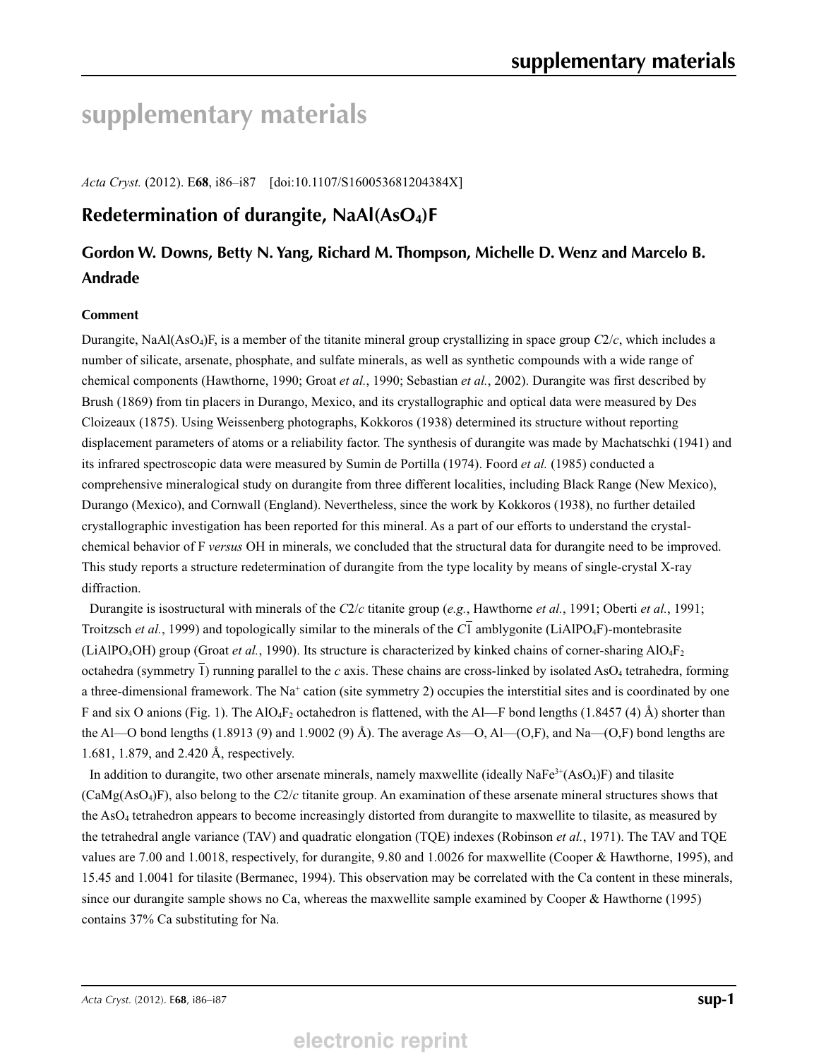# **supplementary materials**

*Acta Cryst.* (2012). E**68**, i86–i87 [doi:10.1107/S160053681204384X]

# **Redetermination of durangite, NaAl(AsO4)F**

# **Gordon W. Downs, Betty N. Yang, Richard M. Thompson, Michelle D. Wenz and Marcelo B. Andrade**

### **Comment**

Durangite, NaAl(AsO4)F, is a member of the titanite mineral group crystallizing in space group *C*2/*c*, which includes a number of silicate, arsenate, phosphate, and sulfate minerals, as well as synthetic compounds with a wide range of chemical components (Hawthorne, 1990; Groat *et al.*, 1990; Sebastian *et al.*, 2002). Durangite was first described by Brush (1869) from tin placers in Durango, Mexico, and its crystallographic and optical data were measured by Des Cloizeaux (1875). Using Weissenberg photographs, Kokkoros (1938) determined its structure without reporting displacement parameters of atoms or a reliability factor. The synthesis of durangite was made by Machatschki (1941) and its infrared spectroscopic data were measured by Sumin de Portilla (1974). Foord *et al.* (1985) conducted a comprehensive mineralogical study on durangite from three different localities, including Black Range (New Mexico), Durango (Mexico), and Cornwall (England). Nevertheless, since the work by Kokkoros (1938), no further detailed crystallographic investigation has been reported for this mineral. As a part of our efforts to understand the crystalchemical behavior of F *versus* OH in minerals, we concluded that the structural data for durangite need to be improved. This study reports a structure redetermination of durangite from the type locality by means of single-crystal X-ray diffraction.

Durangite is isostructural with minerals of the *C*2/*c* titanite group (*e.g.*, Hawthorne *et al.*, 1991; Oberti *et al.*, 1991; Troitzsch *et al.*, 1999) and topologically similar to the minerals of the *C*1 amblygonite (LiAlPO4F)-montebrasite (LiAlPO4OH) group (Groat *et al.*, 1990). Its structure is characterized by kinked chains of corner-sharing AlO4F2 octahedra (symmetry 1) running parallel to the  $c$  axis. These chains are cross-linked by isolated AsO<sub>4</sub> tetrahedra, forming a three-dimensional framework. The Na<sup>+</sup> cation (site symmetry 2) occupies the interstitial sites and is coordinated by one F and six O anions (Fig. 1). The AlO<sub>4</sub>F<sub>2</sub> octahedron is flattened, with the Al—F bond lengths (1.8457 (4) Å) shorter than the Al—O bond lengths (1.8913 (9) and 1.9002 (9) Å). The average As—O, Al—(O,F), and Na—(O,F) bond lengths are 1.681, 1.879, and 2.420 Å, respectively.

In addition to durangite, two other arsenate minerals, namely maxwellite (ideally  $NaFe^{3+}(AsO<sub>4</sub>)F$ ) and tilasite (CaMg(AsO4)F), also belong to the *C*2/*c* titanite group. An examination of these arsenate mineral structures shows that the AsO4 tetrahedron appears to become increasingly distorted from durangite to maxwellite to tilasite, as measured by the tetrahedral angle variance (TAV) and quadratic elongation (TQE) indexes (Robinson *et al.*, 1971). The TAV and TQE values are 7.00 and 1.0018, respectively, for durangite, 9.80 and 1.0026 for maxwellite (Cooper & Hawthorne, 1995), and 15.45 and 1.0041 for tilasite (Bermanec, 1994). This observation may be correlated with the Ca content in these minerals, since our durangite sample shows no Ca, whereas the maxwellite sample examined by Cooper & Hawthorne (1995) contains 37% Ca substituting for Na.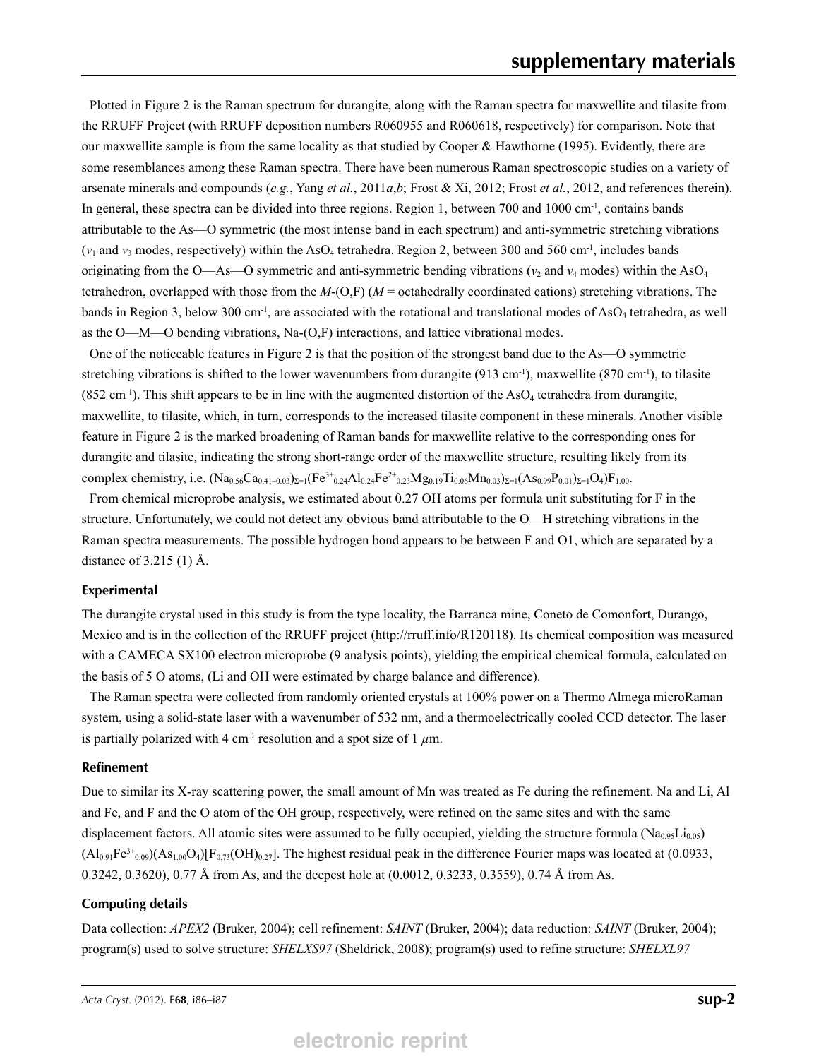Plotted in Figure 2 is the Raman spectrum for durangite, along with the Raman spectra for maxwellite and tilasite from the RRUFF Project (with RRUFF deposition numbers R060955 and R060618, respectively) for comparison. Note that our maxwellite sample is from the same locality as that studied by Cooper & Hawthorne (1995). Evidently, there are some resemblances among these Raman spectra. There have been numerous Raman spectroscopic studies on a variety of arsenate minerals and compounds (*e.g.*, Yang *et al.*, 2011*a*,*b*; Frost & Xi, 2012; Frost *et al.*, 2012, and references therein). In general, these spectra can be divided into three regions. Region 1, between 700 and 1000 cm<sup>-1</sup>, contains bands attributable to the As—O symmetric (the most intense band in each spectrum) and anti-symmetric stretching vibrations  $(v_1$  and  $v_3$  modes, respectively) within the AsO<sub>4</sub> tetrahedra. Region 2, between 300 and 560 cm<sup>-1</sup>, includes bands originating from the O—As—O symmetric and anti-symmetric bending vibrations ( $v_2$  and  $v_4$  modes) within the AsO<sub>4</sub> tetrahedron, overlapped with those from the *M*-(O,F) (*M* = octahedrally coordinated cations) stretching vibrations. The bands in Region 3, below 300 cm<sup>-1</sup>, are associated with the rotational and translational modes of AsO<sub>4</sub> tetrahedra, as well as the O—M—O bending vibrations, Na-(O,F) interactions, and lattice vibrational modes.

One of the noticeable features in Figure 2 is that the position of the strongest band due to the As—O symmetric stretching vibrations is shifted to the lower wavenumbers from durangite (913 cm<sup>-1</sup>), maxwellite (870 cm<sup>-1</sup>), to tilasite  $(852 \text{ cm}^{-1})$ . This shift appears to be in line with the augmented distortion of the AsO<sub>4</sub> tetrahedra from durangite, maxwellite, to tilasite, which, in turn, corresponds to the increased tilasite component in these minerals. Another visible feature in Figure 2 is the marked broadening of Raman bands for maxwellite relative to the corresponding ones for durangite and tilasite, indicating the strong short-range order of the maxwellite structure, resulting likely from its complex chemistry, i.e.  $(Na_{0.56}Ca_{0.41-0.03})_{\Sigma=1}(Fe^{3+}_{0.24}Al_{0.24}Fe^{2+}_{0.23}Mg_{0.19}Ti_{0.06}Mn_{0.03})_{\Sigma=1}(As_{0.99}P_{0.01})_{\Sigma=1}O_4)F_{1.00}$ 

From chemical microprobe analysis, we estimated about 0.27 OH atoms per formula unit substituting for F in the structure. Unfortunately, we could not detect any obvious band attributable to the O—H stretching vibrations in the Raman spectra measurements. The possible hydrogen bond appears to be between F and O1, which are separated by a distance of 3.215 (1) Å.

#### **Experimental**

The durangite crystal used in this study is from the type locality, the Barranca mine, Coneto de Comonfort, Durango, Mexico and is in the collection of the RRUFF project (http://rruff.info/R120118). Its chemical composition was measured with a CAMECA SX100 electron microprobe (9 analysis points), yielding the empirical chemical formula, calculated on the basis of 5 O atoms, (Li and OH were estimated by charge balance and difference).

The Raman spectra were collected from randomly oriented crystals at 100% power on a Thermo Almega microRaman system, using a solid-state laser with a wavenumber of 532 nm, and a thermoelectrically cooled CCD detector. The laser is partially polarized with 4 cm<sup>-1</sup> resolution and a spot size of 1  $\mu$ m.

#### **Refinement**

Due to similar its X-ray scattering power, the small amount of Mn was treated as Fe during the refinement. Na and Li, Al and Fe, and F and the O atom of the OH group, respectively, were refined on the same sites and with the same displacement factors. All atomic sites were assumed to be fully occupied, yielding the structure formula ( $Na<sub>0.95</sub>Li<sub>0.05</sub>$ )  $(A<sub>0.91</sub>F<sub>0.99</sub>)(A<sub>51.00</sub>O<sub>4</sub>)[F<sub>0.73</sub>(OH)<sub>0.27</sub>].$  The highest residual peak in the difference Fourier maps was located at (0.0933, 0.3242, 0.3620), 0.77 Å from As, and the deepest hole at (0.0012, 0.3233, 0.3559), 0.74 Å from As.

#### **Computing details**

Data collection: *APEX2* (Bruker, 2004); cell refinement: *SAINT* (Bruker, 2004); data reduction: *SAINT* (Bruker, 2004); program(s) used to solve structure: *SHELXS97* (Sheldrick, 2008); program(s) used to refine structure: *SHELXL97*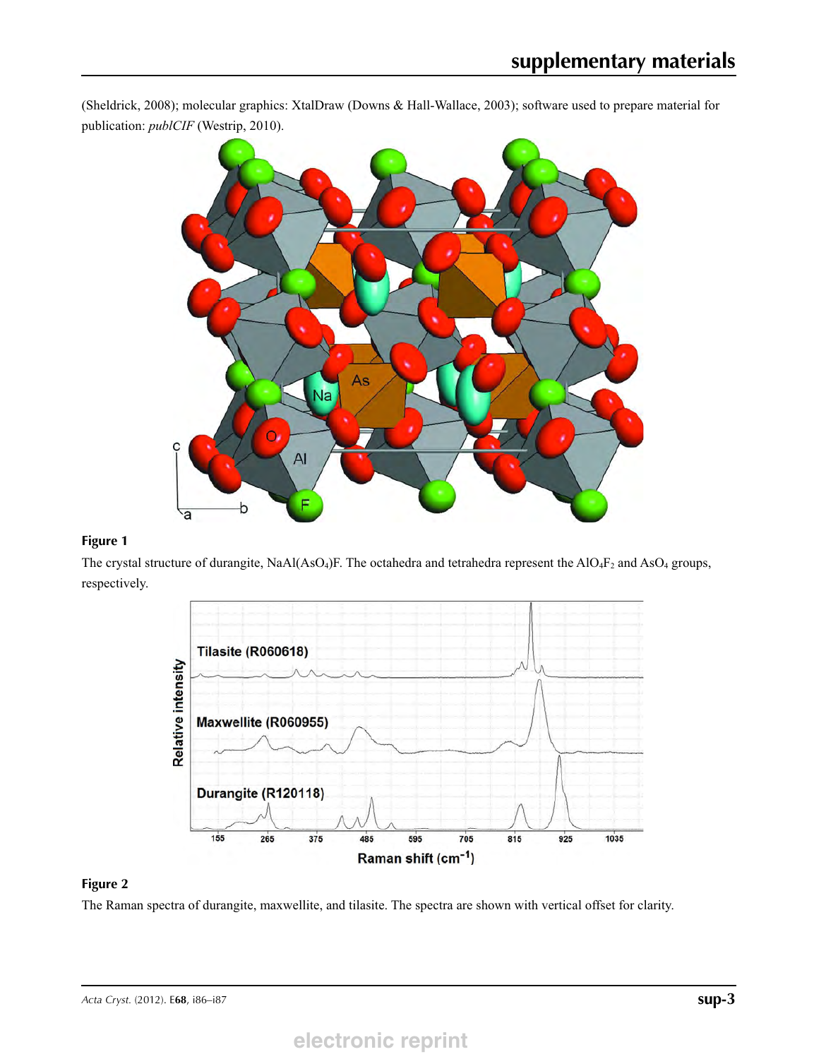(Sheldrick, 2008); molecular graphics: XtalDraw (Downs & Hall-Wallace, 2003); software used to prepare material for publication: *publCIF* (Westrip, 2010).



## **Figure 1**

The crystal structure of durangite, NaAl(AsO<sub>4</sub>)F. The octahedra and tetrahedra represent the AlO<sub>4</sub>F<sub>2</sub> and AsO<sub>4</sub> groups, respectively.



### **Figure 2**

The Raman spectra of durangite, maxwellite, and tilasite. The spectra are shown with vertical offset for clarity.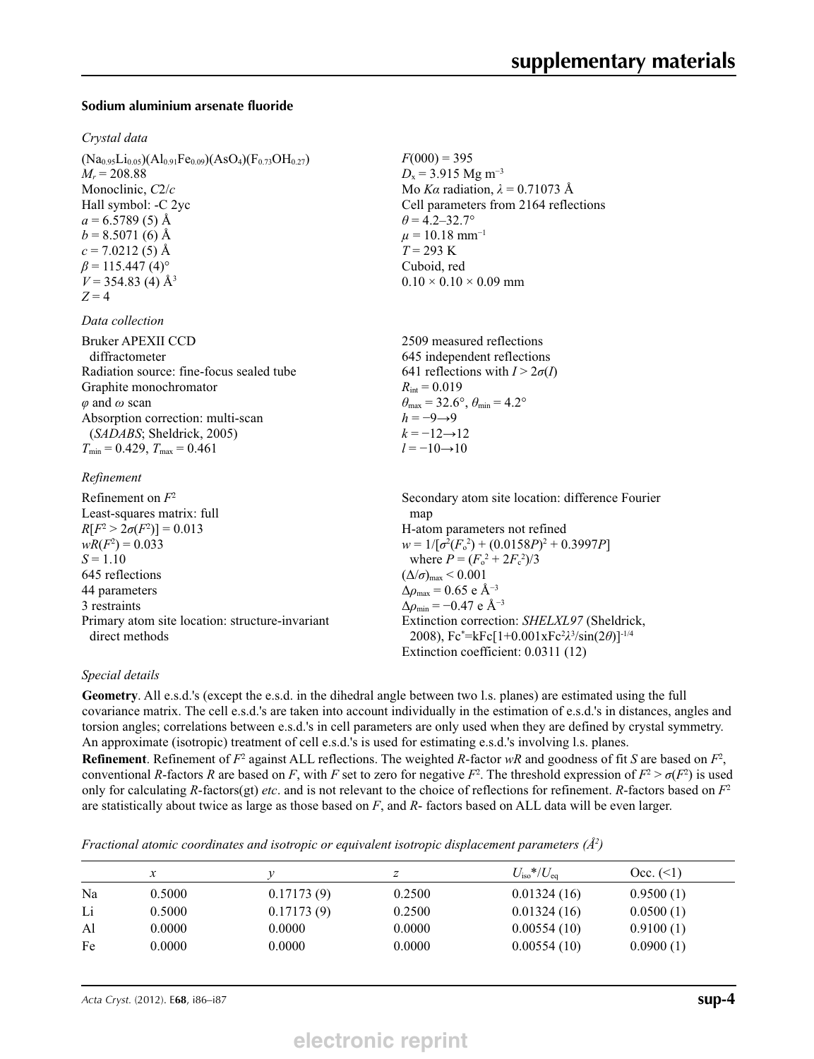#### **Sodium aluminium arsenate fluoride**

#### *Crystal data*

 $(Na_{0.95}Li_{0.05})(Al_{0.91}Fe_{0.09})(AsO_4)(F_{0.73}OH_{0.27})$  $M_r = 208.88$ Monoclinic, *C*2/*c* Hall symbol: -C 2yc  $a = 6.5789(5)$  Å  $b = 8.5071(6)$  Å  $c = 7.0212(5)$  Å  $\beta$  = 115.447 (4)<sup>o</sup>  $V = 354.83$  (4)  $\AA$ <sup>3</sup>  $Z = 4$ 

#### *Data collection*

| Bruker APEXII CCD                        |
|------------------------------------------|
| diffractometer                           |
| Radiation source: fine-focus sealed tube |
| Graphite monochromator                   |
| $\varphi$ and $\omega$ scan              |
| Absorption correction: multi-scan        |
| (SADABS; Sheldrick, 2005)                |
| $T_{\min}$ = 0.429, $T_{\max}$ = 0.461   |
|                                          |

#### *Refinement*

Refinement on *F*<sup>2</sup> Least-squares matrix: full *R*[ $F^2 > 2\sigma(F^2)$ ] = 0.013  $wR(F^2) = 0.033$  $S = 1.10$ 645 reflections 44 parameters 3 restraints Primary atom site location: structure-invariant direct methods Secondary atom site location: difference Fourier map H-atom parameters not refined  $w = 1/[\sigma^2 (F_0^2) + (0.0158P)^2 + 0.3997P]$ where  $P = (F_o^2 + 2F_c^2)/3$  $(\Delta/\sigma)_{\text{max}}$  < 0.001  $\Delta\rho_{\text{max}} = 0.65 \text{ e A}^{-3}$  $\Delta \rho_{\text{min}} = -0.47 \text{ e } \text{\AA}^{-3}$ Extinction correction: *SHELXL97* (Sheldrick, 2008), Fc\* =kFc[1+0.001xFc2 *λ*3 /sin(2*θ*)]-1/4 Extinction coefficient: 0.0311 (12)

#### *Special details*

**Geometry**. All e.s.d.'s (except the e.s.d. in the dihedral angle between two l.s. planes) are estimated using the full covariance matrix. The cell e.s.d.'s are taken into account individually in the estimation of e.s.d.'s in distances, angles and torsion angles; correlations between e.s.d.'s in cell parameters are only used when they are defined by crystal symmetry. An approximate (isotropic) treatment of cell e.s.d.'s is used for estimating e.s.d.'s involving l.s. planes.

 $F(000) = 395$  $D_x$  = 3.915 Mg m<sup>-3</sup>

 $\theta$  = 4.2–32.7°  $\mu = 10.18$  mm<sup>-1</sup>  $T = 293 \text{ K}$ Cuboid, red

 $R_{\text{int}} = 0.019$ 

 $h = -9 \rightarrow 9$  $k = -12 \rightarrow 12$  $l = -10 \rightarrow 10$ 

 $0.10 \times 0.10 \times 0.09$  mm

2509 measured reflections 645 independent reflections 641 reflections with  $I > 2\sigma(I)$ 

 $\theta_{\text{max}} = 32.6^{\circ}, \theta_{\text{min}} = 4.2^{\circ}$ 

Mo *Kα* radiation,  $\lambda = 0.71073$  Å Cell parameters from 2164 reflections

**Refinement**. Refinement of  $F^2$  against ALL reflections. The weighted *R*-factor  $wR$  and goodness of fit *S* are based on  $F^2$ , conventional *R*-factors *R* are based on *F*, with *F* set to zero for negative  $F^2$ . The threshold expression of  $F^2 > \sigma(F^2)$  is used only for calculating *R*-factors(gt) *etc*. and is not relevant to the choice of reflections for refinement. *R*-factors based on *F*<sup>2</sup> are statistically about twice as large as those based on *F*, and *R*- factors based on ALL data will be even larger.

*Fractional atomic coordinates and isotropic or equivalent isotropic displacement parameters (Å2 )*

|    | $\mathcal{X}$ |            | ∠      | $U_{\rm iso}*/U_{\rm eq}$ | $Occ. ( \le 1)$ |
|----|---------------|------------|--------|---------------------------|-----------------|
| Na | 0.5000        | 0.17173(9) | 0.2500 | 0.01324(16)               | 0.9500(1)       |
| Li | 0.5000        | 0.17173(9) | 0.2500 | 0.01324(16)               | 0.0500(1)       |
| Al | 0.0000        | 0.0000     | 0.0000 | 0.00554(10)               | 0.9100(1)       |
| Fe | 0.0000        | 0.0000     | 0.0000 | 0.00554(10)               | 0.0900(1)       |

*Acta Cryst.* (2012). E**68**, i86–i87 **sup-4**